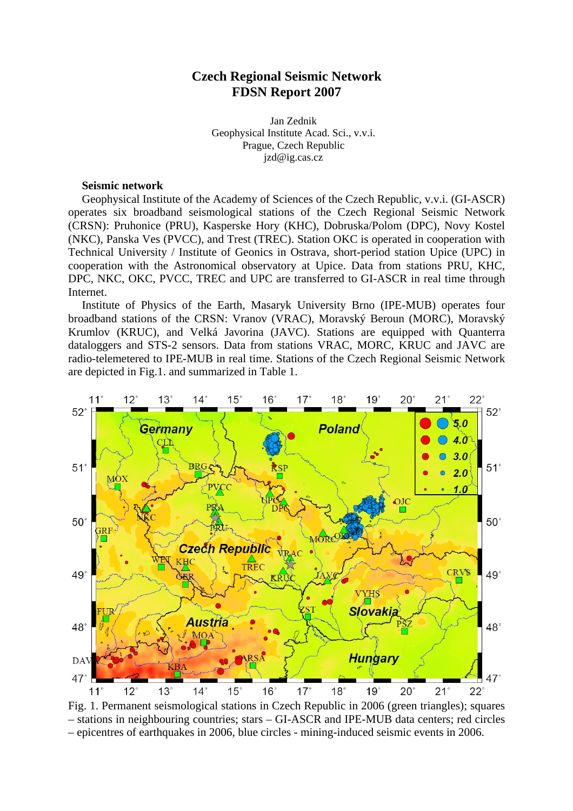# **Czech Regional Seismic Network FDSN Report 2007**

Jan Zednik Geophysical Institute Acad. Sci., v.v.i. Prague, Czech Republic jzd@ig.cas.cz

## **Seismic network**

Geophysical Institute of the Academy of Sciences of the Czech Republic, v.v.i. (GI-ASCR) operates six broadband seismological stations of the Czech Regional Seismic Network (CRSN): Pruhonice (PRU), Kasperske Hory (KHC), Dobruska/Polom (DPC), Novy Kostel (NKC), Panska Ves (PVCC), and Trest (TREC). Station OKC is operated in cooperation with Technical University / Institute of Geonics in Ostrava, short-period station Upice (UPC) in cooperation with the Astronomical observatory at Upice. Data from stations PRU, KHC, DPC, NKC, OKC, PVCC, TREC and UPC are transferred to GI-ASCR in real time through Internet.

Institute of Physics of the Earth, Masaryk University Brno (IPE-MUB) operates four broadband stations of the CRSN: Vranov (VRAC), Moravský Beroun (MORC), Moravský Krumlov (KRUC), and Velká Javorina (JAVC). Stations are equipped with Quanterra dataloggers and STS-2 sensors. Data from stations VRAC, MORC, KRUC and JAVC are radio-telemetered to IPE-MUB in real time. Stations of the Czech Regional Seismic Network are depicted in Fig.1. and summarized in Table 1.



Fig. 1. Permanent seismological stations in Czech Republic in 2006 (green triangles); squares – stations in neighbouring countries; stars – GI-ASCR and IPE-MUB data centers; red circles – epicentres of earthquakes in 2006, blue circles - mining-induced seismic events in 2006.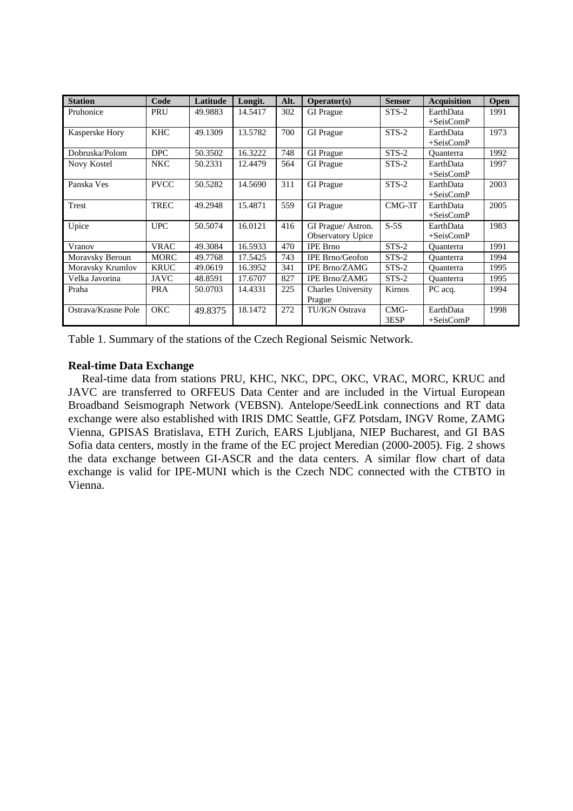| <b>Station</b>      | Code        | Latitude | Longit. | Alt. | Operator(s)               | <b>Sensor</b> | <b>Acquisition</b> | Open |
|---------------------|-------------|----------|---------|------|---------------------------|---------------|--------------------|------|
| Pruhonice           | PRU         | 49.9883  | 14.5417 | 302  | <b>GI</b> Prague          | $STS-2$       | EarthData          | 1991 |
|                     |             |          |         |      |                           |               | $+SeisComP$        |      |
| Kasperske Hory      | <b>KHC</b>  | 49.1309  | 13.5782 | 700  | <b>GI</b> Prague          | $STS-2$       | EarthData          | 1973 |
|                     |             |          |         |      |                           |               | $+SeisComP$        |      |
| Dobruska/Polom      | <b>DPC</b>  | 50.3502  | 16.3222 | 748  | <b>GI</b> Prague          | STS-2         | <b>Ouanterra</b>   | 1992 |
| Novy Kostel         | <b>NKC</b>  | 50.2331  | 12.4479 | 564  | <b>GI</b> Prague          | $STS-2$       | EarthData          | 1997 |
|                     |             |          |         |      |                           |               | $+SeisComP$        |      |
| Panska Ves          | <b>PVCC</b> | 50.5282  | 14.5690 | 311  | <b>GI</b> Prague          | $STS-2$       | EarthData          | 2003 |
|                     |             |          |         |      |                           |               | $+SeisComP$        |      |
| <b>Trest</b>        | <b>TREC</b> | 49.2948  | 15.4871 | 559  | <b>GI</b> Prague          | $CMG-3T$      | EarthData          | 2005 |
|                     |             |          |         |      |                           |               | $+SeisComP$        |      |
| Upice               | <b>UPC</b>  | 50.5074  | 16.0121 | 416  | GI Prague/ Astron.        | $S-5S$        | EarthData          | 1983 |
|                     |             |          |         |      | <b>Observatory Upice</b>  |               | $+SeisComP$        |      |
| Vranov              | <b>VRAC</b> | 49.3084  | 16.5933 | 470  | <b>IPE Brno</b>           | $STS-2$       | <b>Ouanterra</b>   | 1991 |
| Moravsky Beroun     | <b>MORC</b> | 49.7768  | 17.5425 | 743  | <b>IPE Brno/Geofon</b>    | $STS-2$       | Ouanterra          | 1994 |
| Moravsky Krumlov    | <b>KRUC</b> | 49.0619  | 16.3952 | 341  | <b>IPE Brno/ZAMG</b>      | $STS-2$       | <b>Ouanterra</b>   | 1995 |
| Velka Javorina      | <b>JAVC</b> | 48.8591  | 17.6707 | 827  | <b>IPE Brno/ZAMG</b>      | $STS-2$       | <b>Ouanterra</b>   | 1995 |
| Praha               | <b>PRA</b>  | 50.0703  | 14.4331 | 225  | <b>Charles University</b> | Kirnos        | PC acq.            | 1994 |
|                     |             |          |         |      | Prague                    |               |                    |      |
| Ostrava/Krasne Pole | OKC         | 49.8375  | 18.1472 | 272  | <b>TU/IGN Ostrava</b>     | CMG-          | EarthData          | 1998 |
|                     |             |          |         |      |                           | 3ESP          | $+SeisComP$        |      |

Table 1. Summary of the stations of the Czech Regional Seismic Network.

## **Real-time Data Exchange**

Real-time data from stations PRU, KHC, NKC, DPC, OKC, VRAC, MORC, KRUC and JAVC are transferred to ORFEUS Data Center and are included in the Virtual European Broadband Seismograph Network (VEBSN). Antelope/SeedLink connections and RT data exchange were also established with IRIS DMC Seattle, GFZ Potsdam, INGV Rome, ZAMG Vienna, GPISAS Bratislava, ETH Zurich, EARS Ljubljana, NIEP Bucharest, and GI BAS Sofia data centers, mostly in the frame of the EC project Meredian (2000-2005). Fig. 2 shows the data exchange between GI-ASCR and the data centers. A similar flow chart of data exchange is valid for IPE-MUNI which is the Czech NDC connected with the CTBTO in Vienna.